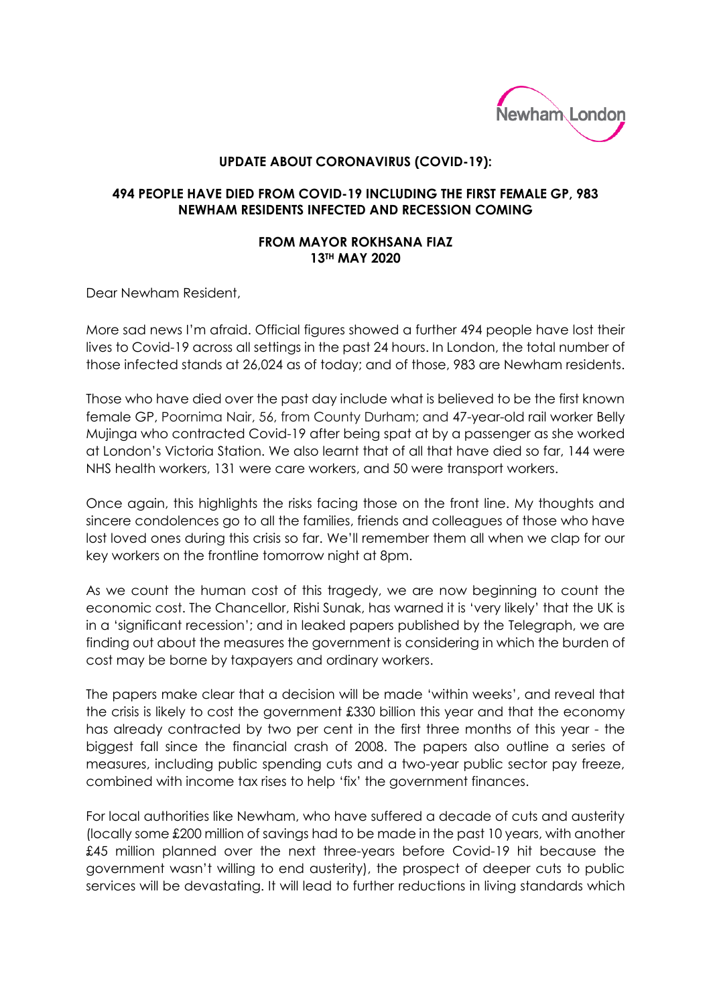

## **UPDATE ABOUT CORONAVIRUS (COVID-19):**

## **494 PEOPLE HAVE DIED FROM COVID-19 INCLUDING THE FIRST FEMALE GP, 983 NEWHAM RESIDENTS INFECTED AND RECESSION COMING**

## **FROM MAYOR ROKHSANA FIAZ 13TH MAY 2020**

Dear Newham Resident,

More sad news I'm afraid. Official figures showed a further 494 people have lost their lives to Covid-19 across all settings in the past 24 hours. In London, the total number of those infected stands at 26,024 as of today; and of those, 983 are Newham residents.

Those who have died over the past day include what is believed to be the first known female GP, Poornima Nair, 56, from County Durham; and 47-year-old rail worker Belly Mujinga who contracted Covid-19 after being spat at by a passenger as she worked at London's Victoria Station. We also learnt that of all that have died so far, 144 were NHS health workers, 131 were care workers, and 50 were transport workers.

Once again, this highlights the risks facing those on the front line. My thoughts and sincere condolences go to all the families, friends and colleagues of those who have lost loved ones during this crisis so far. We'll remember them all when we clap for our key workers on the frontline tomorrow night at 8pm.

As we count the human cost of this tragedy, we are now beginning to count the economic cost. The Chancellor, Rishi Sunak, has warned it is 'very likely' that the UK is in a 'significant recession'; and in leaked papers published by the Telegraph, we are finding out about the measures the government is considering in which the burden of cost may be borne by taxpayers and ordinary workers.

The papers make clear that a decision will be made 'within weeks', and reveal that the crisis is likely to cost the government £330 billion this year and that the economy has already contracted by two per cent in the first three months of this year - the biggest fall since the financial crash of 2008. The papers also outline a series of measures, including public spending cuts and a two-year public sector pay freeze, combined with income tax rises to help 'fix' the government finances.

For local authorities like Newham, who have suffered a decade of cuts and austerity (locally some £200 million of savings had to be made in the past 10 years, with another £45 million planned over the next three-years before Covid-19 hit because the government wasn't willing to end austerity), the prospect of deeper cuts to public services will be devastating. It will lead to further reductions in living standards which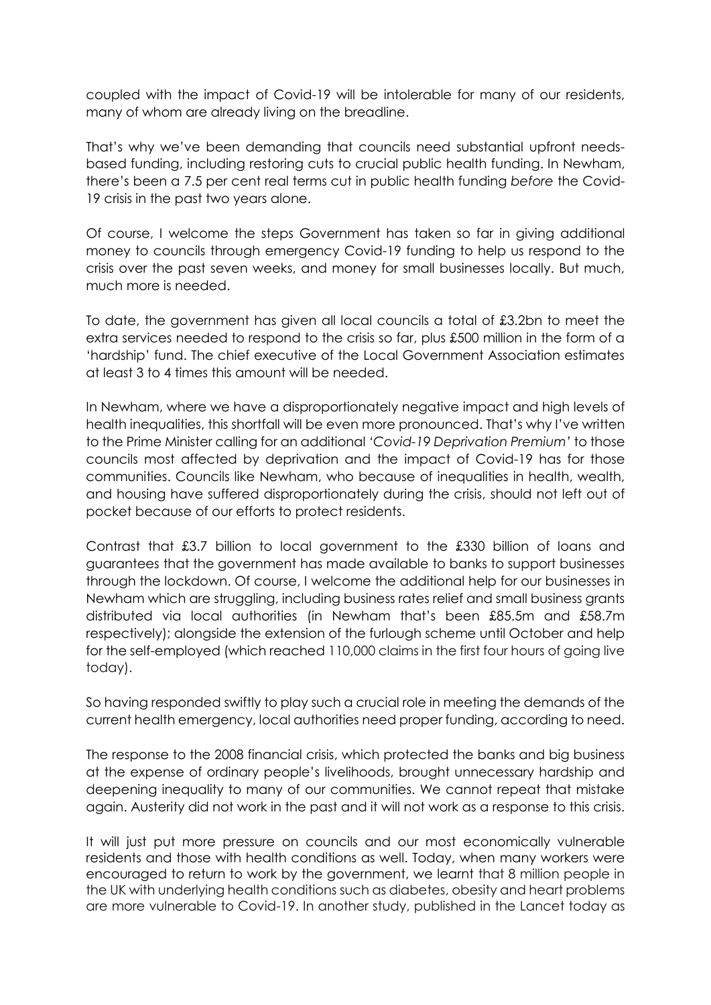coupled with the impact of Covid-19 will be intolerable for many of our residents, many of whom are already living on the breadline.

That's why we've been demanding that councils need substantial upfront needsbased funding, including restoring cuts to crucial public health funding. In Newham, there's been a 7.5 per cent real terms cut in public health funding *before* the Covid-19 crisis in the past two years alone.

Of course, I welcome the steps Government has taken so far in giving additional money to councils through emergency Covid-19 funding to help us respond to the crisis over the past seven weeks, and money for small businesses locally. But much, much more is needed.

To date, the government has given all local councils a total of £3.2bn to meet the extra services needed to respond to the crisis so far, plus £500 million in the form of a 'hardship' fund. The chief executive of the Local Government Association estimates at least 3 to 4 times this amount will be needed.

In Newham, where we have a disproportionately negative impact and high levels of health inequalities, this shortfall will be even more pronounced. That's why I've written to the Prime Minister calling for an additional *'Covid-19 Deprivation Premium'* to those councils most affected by deprivation and the impact of Covid-19 has for those communities. Councils like Newham, who because of inequalities in health, wealth, and housing have suffered disproportionately during the crisis, should not left out of pocket because of our efforts to protect residents.

Contrast that £3.7 billion to local government to the £330 billion of loans and guarantees that the government has made available to banks to support businesses through the lockdown. Of course, I welcome the additional help for our businesses in Newham which are struggling, including business rates relief and small business grants distributed via local authorities (in Newham that's been £85.5m and £58.7m respectively); alongside the extension of the furlough scheme until October and help for the self-employed (which reached 110,000 claims in the first four hours of going live today).

So having responded swiftly to play such a crucial role in meeting the demands of the current health emergency, local authorities need proper funding, according to need.

The response to the 2008 financial crisis, which protected the banks and big business at the expense of ordinary people's livelihoods, brought unnecessary hardship and deepening inequality to many of our communities. We cannot repeat that mistake again. Austerity did not work in the past and it will not work as a response to this crisis.

It will just put more pressure on councils and our most economically vulnerable residents and those with health conditions as well. Today, when many workers were encouraged to return to work by the government, we learnt that 8 million people in the UK with underlying health conditions such as diabetes, obesity and heart problems are more vulnerable to Covid-19. In another study, published in the Lancet today as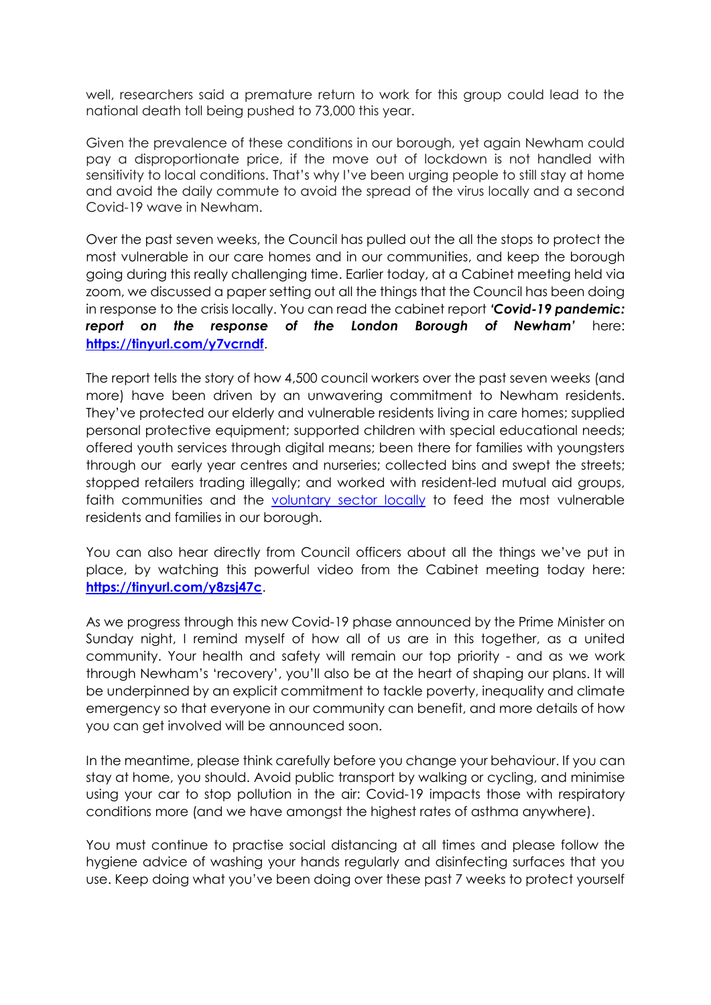well, researchers said a premature return to work for this group could lead to the national death toll being pushed to 73,000 this year.

Given the prevalence of these conditions in our borough, yet again Newham could pay a disproportionate price, if the move out of lockdown is not handled with sensitivity to local conditions. That's why I've been urging people to still stay at home and avoid the daily commute to avoid the spread of the virus locally and a second Covid-19 wave in Newham.

Over the past seven weeks, the Council has pulled out the all the stops to protect the most vulnerable in our care homes and in our communities, and keep the borough going during this really challenging time. Earlier today, at a Cabinet meeting held via zoom, we discussed a paper setting out all the things that the Council has been doing in response to the crisis locally. You can read the cabinet report *'Covid-19 pandemic: report on the response of the London Borough of Newham'* here: **<https://tinyurl.com/y7vcrndf>**.

The report tells the story of how 4,500 council workers over the past seven weeks (and more) have been driven by an unwavering commitment to Newham residents. They've protected our elderly and vulnerable residents living in care homes; supplied personal protective equipment; supported children with special educational needs; offered youth services through digital means; been there for families with youngsters through our early year centres and nurseries; collected bins and swept the streets; stopped retailers trading illegally; and worked with resident-led mutual aid groups, faith communities and the [voluntary sector locally](https://lbnewham.maps.arcgis.com/apps/webappviewer/index.html?id=2ab8da985502439997ec6e1937d66d44&fbclid=IwAR0jVSZxD9SY3YdPQEQUgg5Gm6b9XfQFMsoGKGLcOPAryhjaH73V7qqnfA4) to feed the most vulnerable residents and families in our borough.

You can also hear directly from Council officers about all the things we've put in place, by watching this powerful video from the Cabinet meeting today here: **<https://tinyurl.com/y8zsj47c>**.

As we progress through this new Covid-19 phase announced by the Prime Minister on Sunday night, I remind myself of how all of us are in this together, as a united community. Your health and safety will remain our top priority - and as we work through Newham's 'recovery', you'll also be at the heart of shaping our plans. It will be underpinned by an explicit commitment to tackle poverty, inequality and climate emergency so that everyone in our community can benefit, and more details of how you can get involved will be announced soon.

In the meantime, please think carefully before you change your behaviour. If you can stay at home, you should. Avoid public transport by walking or cycling, and minimise using your car to stop pollution in the air: Covid-19 impacts those with respiratory conditions more (and we have amongst the highest rates of asthma anywhere).

You must continue to practise social distancing at all times and please follow the hygiene advice of washing your hands regularly and disinfecting surfaces that you use. Keep doing what you've been doing over these past 7 weeks to protect yourself